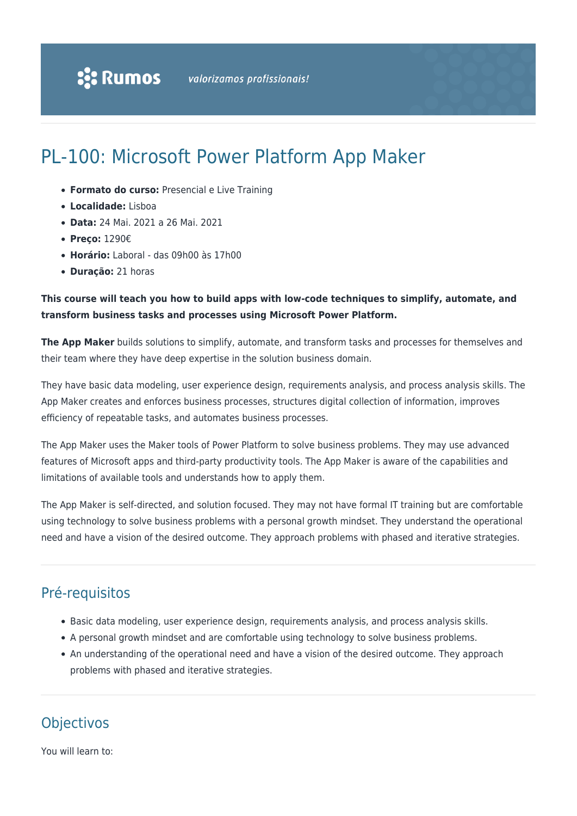# PL-100: Microsoft Power Platform App Maker

- **Formato do curso:** Presencial e Live Training
- **Localidade:** Lisboa
- **Data:** 24 Mai. 2021 a 26 Mai. 2021
- **Preço:** 1290€
- **Horário:** Laboral das 09h00 às 17h00
- **Duração:** 21 horas

### **This course will teach you how to build apps with low-code techniques to simplify, automate, and transform business tasks and processes using Microsoft Power Platform.**

**The App Maker** builds solutions to simplify, automate, and transform tasks and processes for themselves and their team where they have deep expertise in the solution business domain.

They have basic data modeling, user experience design, requirements analysis, and process analysis skills. The App Maker creates and enforces business processes, structures digital collection of information, improves efficiency of repeatable tasks, and automates business processes.

The App Maker uses the Maker tools of Power Platform to solve business problems. They may use advanced features of Microsoft apps and third-party productivity tools. The App Maker is aware of the capabilities and limitations of available tools and understands how to apply them.

The App Maker is self-directed, and solution focused. They may not have formal IT training but are comfortable using technology to solve business problems with a personal growth mindset. They understand the operational need and have a vision of the desired outcome. They approach problems with phased and iterative strategies.

## Pré-requisitos

- Basic data modeling, user experience design, requirements analysis, and process analysis skills.
- A personal growth mindset and are comfortable using technology to solve business problems.
- An understanding of the operational need and have a vision of the desired outcome. They approach problems with phased and iterative strategies.

### **Objectivos**

You will learn to: